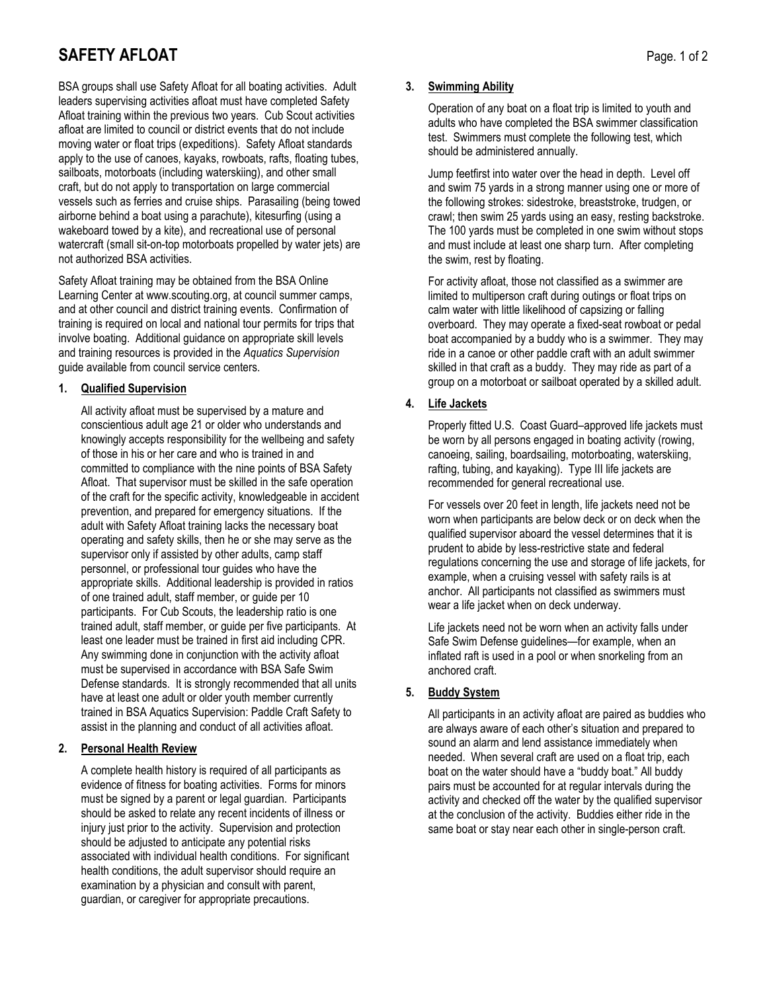# **SAFETY AFLOAT** Page. 1 of 2

BSA groups shall use Safety Afloat for all boating activities. Adult leaders supervising activities afloat must have completed Safety Afloat training within the previous two years. Cub Scout activities afloat are limited to council or district events that do not include moving water or float trips (expeditions). Safety Afloat standards apply to the use of canoes, kayaks, rowboats, rafts, floating tubes, sailboats, motorboats (including waterskiing), and other small craft, but do not apply to transportation on large commercial vessels such as ferries and cruise ships. Parasailing (being towed airborne behind a boat using a parachute), kitesurfing (using a wakeboard towed by a kite), and recreational use of personal watercraft (small sit-on-top motorboats propelled by water jets) are not authorized BSA activities.

Safety Afloat training may be obtained from the BSA Online Learning Center at www.scouting.org, at council summer camps, and at other council and district training events. Confirmation of training is required on local and national tour permits for trips that involve boating. Additional guidance on appropriate skill levels and training resources is provided in the *Aquatics Supervision* guide available from council service centers.

## **1. Qualified Supervision**

All activity afloat must be supervised by a mature and conscientious adult age 21 or older who understands and knowingly accepts responsibility for the wellbeing and safety of those in his or her care and who is trained in and committed to compliance with the nine points of BSA Safety Afloat. That supervisor must be skilled in the safe operation of the craft for the specific activity, knowledgeable in accident prevention, and prepared for emergency situations. If the adult with Safety Afloat training lacks the necessary boat operating and safety skills, then he or she may serve as the supervisor only if assisted by other adults, camp staff personnel, or professional tour guides who have the appropriate skills. Additional leadership is provided in ratios of one trained adult, staff member, or guide per 10 participants. For Cub Scouts, the leadership ratio is one trained adult, staff member, or guide per five participants. At least one leader must be trained in first aid including CPR. Any swimming done in conjunction with the activity afloat must be supervised in accordance with BSA Safe Swim Defense standards. It is strongly recommended that all units have at least one adult or older youth member currently trained in BSA Aquatics Supervision: Paddle Craft Safety to assist in the planning and conduct of all activities afloat.

## **2. Personal Health Review**

A complete health history is required of all participants as evidence of fitness for boating activities. Forms for minors must be signed by a parent or legal guardian. Participants should be asked to relate any recent incidents of illness or injury just prior to the activity. Supervision and protection should be adjusted to anticipate any potential risks associated with individual health conditions. For significant health conditions, the adult supervisor should require an examination by a physician and consult with parent, guardian, or caregiver for appropriate precautions.

## **3. Swimming Ability**

Operation of any boat on a float trip is limited to youth and adults who have completed the BSA swimmer classification test. Swimmers must complete the following test, which should be administered annually.

Jump feetfirst into water over the head in depth. Level off and swim 75 yards in a strong manner using one or more of the following strokes: sidestroke, breaststroke, trudgen, or crawl; then swim 25 yards using an easy, resting backstroke. The 100 yards must be completed in one swim without stops and must include at least one sharp turn. After completing the swim, rest by floating.

For activity afloat, those not classified as a swimmer are limited to multiperson craft during outings or float trips on calm water with little likelihood of capsizing or falling overboard. They may operate a fixed-seat rowboat or pedal boat accompanied by a buddy who is a swimmer. They may ride in a canoe or other paddle craft with an adult swimmer skilled in that craft as a buddy. They may ride as part of a group on a motorboat or sailboat operated by a skilled adult.

## **4. Life Jackets**

Properly fitted U.S. Coast Guard–approved life jackets must be worn by all persons engaged in boating activity (rowing, canoeing, sailing, boardsailing, motorboating, waterskiing, rafting, tubing, and kayaking). Type III life jackets are recommended for general recreational use.

For vessels over 20 feet in length, life jackets need not be worn when participants are below deck or on deck when the qualified supervisor aboard the vessel determines that it is prudent to abide by less-restrictive state and federal regulations concerning the use and storage of life jackets, for example, when a cruising vessel with safety rails is at anchor. All participants not classified as swimmers must wear a life jacket when on deck underway.

Life jackets need not be worn when an activity falls under Safe Swim Defense guidelines—for example, when an inflated raft is used in a pool or when snorkeling from an anchored craft.

## **5. Buddy System**

All participants in an activity afloat are paired as buddies who are always aware of each other's situation and prepared to sound an alarm and lend assistance immediately when needed. When several craft are used on a float trip, each boat on the water should have a "buddy boat." All buddy pairs must be accounted for at regular intervals during the activity and checked off the water by the qualified supervisor at the conclusion of the activity. Buddies either ride in the same boat or stay near each other in single-person craft.